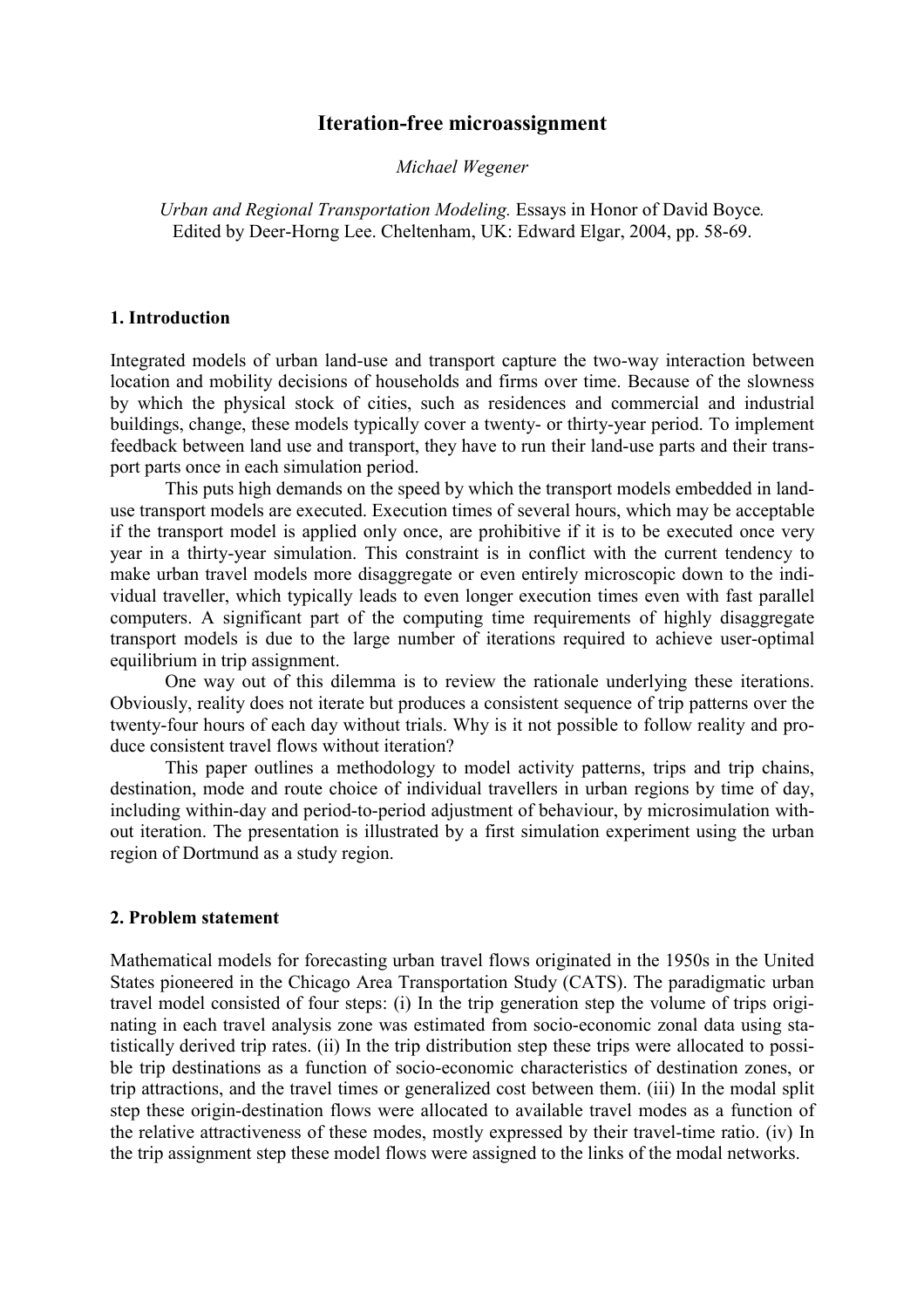# **Iteration-free microassignment**

*Michael Wegener*

*Urban and Regional Transportation Modeling.* Essays in Honor of David Boyce*.* Edited by Deer-Horng Lee. Cheltenham, UK: Edward Elgar, 2004, pp. 58-69.

## **1. Introduction**

Integrated models of urban land-use and transport capture the two-way interaction between location and mobility decisions of households and firms over time. Because of the slowness by which the physical stock of cities, such as residences and commercial and industrial buildings, change, these models typically cover a twenty- or thirty-year period. To implement feedback between land use and transport, they have to run their land-use parts and their transport parts once in each simulation period.

This puts high demands on the speed by which the transport models embedded in landuse transport models are executed. Execution times of several hours, which may be acceptable if the transport model is applied only once, are prohibitive if it is to be executed once very year in a thirty-year simulation. This constraint is in conflict with the current tendency to make urban travel models more disaggregate or even entirely microscopic down to the individual traveller, which typically leads to even longer execution times even with fast parallel computers. A significant part of the computing time requirements of highly disaggregate transport models is due to the large number of iterations required to achieve user-optimal equilibrium in trip assignment.

 One way out of this dilemma is to review the rationale underlying these iterations. Obviously, reality does not iterate but produces a consistent sequence of trip patterns over the twenty-four hours of each day without trials. Why is it not possible to follow reality and produce consistent travel flows without iteration?

This paper outlines a methodology to model activity patterns, trips and trip chains, destination, mode and route choice of individual travellers in urban regions by time of day, including within-day and period-to-period adjustment of behaviour, by microsimulation without iteration. The presentation is illustrated by a first simulation experiment using the urban region of Dortmund as a study region.

### **2. Problem statement**

Mathematical models for forecasting urban travel flows originated in the 1950s in the United States pioneered in the Chicago Area Transportation Study (CATS). The paradigmatic urban travel model consisted of four steps: (i) In the trip generation step the volume of trips originating in each travel analysis zone was estimated from socio-economic zonal data using statistically derived trip rates. (ii) In the trip distribution step these trips were allocated to possible trip destinations as a function of socio-economic characteristics of destination zones, or trip attractions, and the travel times or generalized cost between them. (iii) In the modal split step these origin-destination flows were allocated to available travel modes as a function of the relative attractiveness of these modes, mostly expressed by their travel-time ratio. (iv) In the trip assignment step these model flows were assigned to the links of the modal networks.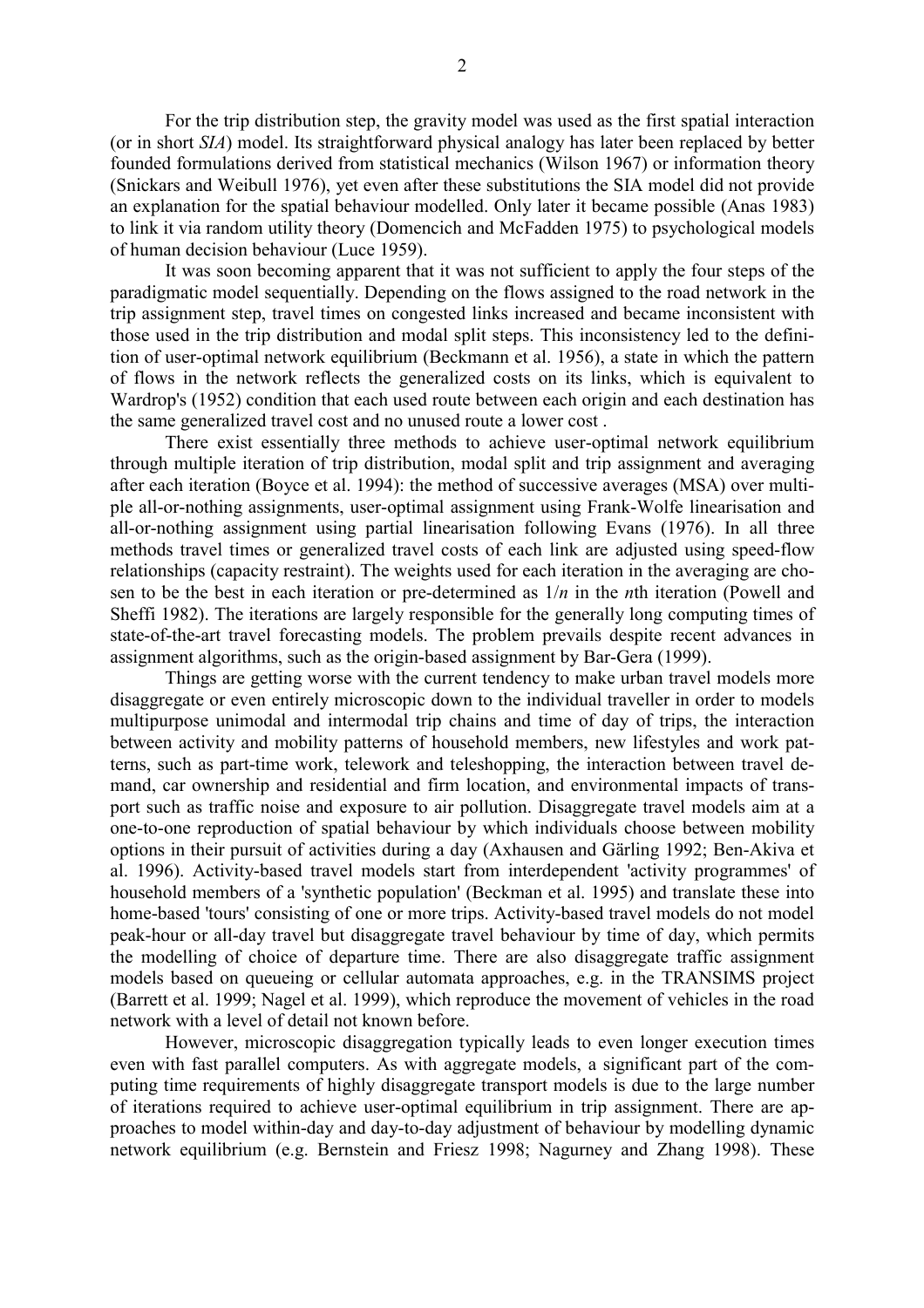For the trip distribution step, the gravity model was used as the first spatial interaction (or in short *SIA*) model. Its straightforward physical analogy has later been replaced by better founded formulations derived from statistical mechanics (Wilson 1967) or information theory (Snickars and Weibull 1976), yet even after these substitutions the SIA model did not provide an explanation for the spatial behaviour modelled. Only later it became possible (Anas 1983) to link it via random utility theory (Domencich and McFadden 1975) to psychological models of human decision behaviour (Luce 1959).

It was soon becoming apparent that it was not sufficient to apply the four steps of the paradigmatic model sequentially. Depending on the flows assigned to the road network in the trip assignment step, travel times on congested links increased and became inconsistent with those used in the trip distribution and modal split steps. This inconsistency led to the definition of user-optimal network equilibrium (Beckmann et al. 1956), a state in which the pattern of flows in the network reflects the generalized costs on its links, which is equivalent to Wardrop's (1952) condition that each used route between each origin and each destination has the same generalized travel cost and no unused route a lower cost .

There exist essentially three methods to achieve user-optimal network equilibrium through multiple iteration of trip distribution, modal split and trip assignment and averaging after each iteration (Boyce et al. 1994): the method of successive averages (MSA) over multiple all-or-nothing assignments, user-optimal assignment using Frank-Wolfe linearisation and all-or-nothing assignment using partial linearisation following Evans (1976). In all three methods travel times or generalized travel costs of each link are adjusted using speed-flow relationships (capacity restraint). The weights used for each iteration in the averaging are chosen to be the best in each iteration or pre-determined as 1/*n* in the *n*th iteration (Powell and Sheffi 1982). The iterations are largely responsible for the generally long computing times of state-of-the-art travel forecasting models. The problem prevails despite recent advances in assignment algorithms, such as the origin-based assignment by Bar-Gera (1999).

Things are getting worse with the current tendency to make urban travel models more disaggregate or even entirely microscopic down to the individual traveller in order to models multipurpose unimodal and intermodal trip chains and time of day of trips, the interaction between activity and mobility patterns of household members, new lifestyles and work patterns, such as part-time work, telework and teleshopping, the interaction between travel demand, car ownership and residential and firm location, and environmental impacts of transport such as traffic noise and exposure to air pollution. Disaggregate travel models aim at a one-to-one reproduction of spatial behaviour by which individuals choose between mobility options in their pursuit of activities during a day (Axhausen and Gärling 1992; Ben-Akiva et al. 1996). Activity-based travel models start from interdependent 'activity programmes' of household members of a 'synthetic population' (Beckman et al. 1995) and translate these into home-based 'tours' consisting of one or more trips. Activity-based travel models do not model peak-hour or all-day travel but disaggregate travel behaviour by time of day, which permits the modelling of choice of departure time. There are also disaggregate traffic assignment models based on queueing or cellular automata approaches, e.g. in the TRANSIMS project (Barrett et al. 1999; Nagel et al. 1999), which reproduce the movement of vehicles in the road network with a level of detail not known before.

However, microscopic disaggregation typically leads to even longer execution times even with fast parallel computers. As with aggregate models, a significant part of the computing time requirements of highly disaggregate transport models is due to the large number of iterations required to achieve user-optimal equilibrium in trip assignment. There are approaches to model within-day and day-to-day adjustment of behaviour by modelling dynamic network equilibrium (e.g. Bernstein and Friesz 1998; Nagurney and Zhang 1998). These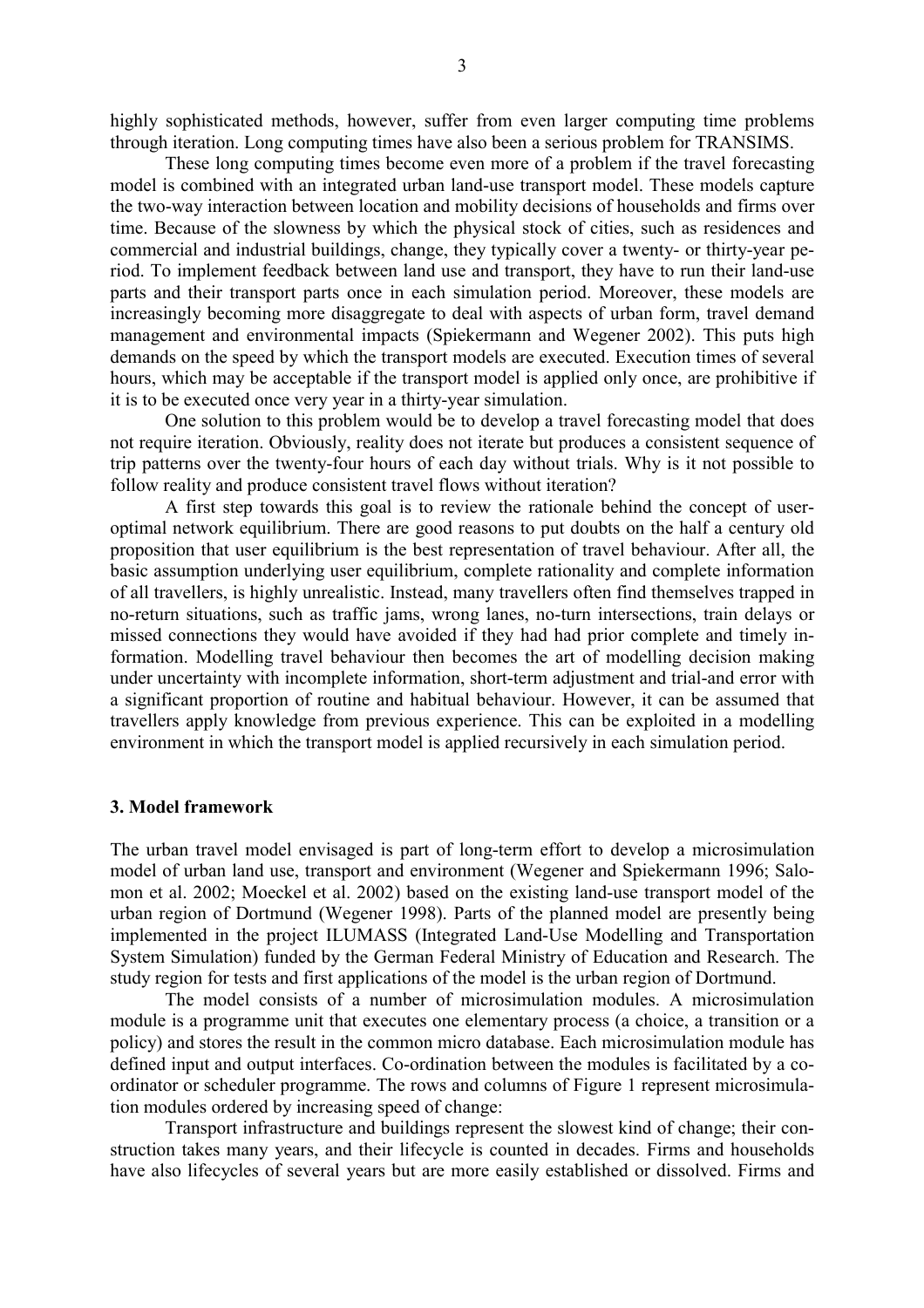highly sophisticated methods, however, suffer from even larger computing time problems through iteration. Long computing times have also been a serious problem for TRANSIMS.

 These long computing times become even more of a problem if the travel forecasting model is combined with an integrated urban land-use transport model. These models capture the two-way interaction between location and mobility decisions of households and firms over time. Because of the slowness by which the physical stock of cities, such as residences and commercial and industrial buildings, change, they typically cover a twenty- or thirty-year period. To implement feedback between land use and transport, they have to run their land-use parts and their transport parts once in each simulation period. Moreover, these models are increasingly becoming more disaggregate to deal with aspects of urban form, travel demand management and environmental impacts (Spiekermann and Wegener 2002). This puts high demands on the speed by which the transport models are executed. Execution times of several hours, which may be acceptable if the transport model is applied only once, are prohibitive if it is to be executed once very year in a thirty-year simulation.

One solution to this problem would be to develop a travel forecasting model that does not require iteration. Obviously, reality does not iterate but produces a consistent sequence of trip patterns over the twenty-four hours of each day without trials. Why is it not possible to follow reality and produce consistent travel flows without iteration?

A first step towards this goal is to review the rationale behind the concept of useroptimal network equilibrium. There are good reasons to put doubts on the half a century old proposition that user equilibrium is the best representation of travel behaviour. After all, the basic assumption underlying user equilibrium, complete rationality and complete information of all travellers, is highly unrealistic. Instead, many travellers often find themselves trapped in no-return situations, such as traffic jams, wrong lanes, no-turn intersections, train delays or missed connections they would have avoided if they had had prior complete and timely information. Modelling travel behaviour then becomes the art of modelling decision making under uncertainty with incomplete information, short-term adjustment and trial-and error with a significant proportion of routine and habitual behaviour. However, it can be assumed that travellers apply knowledge from previous experience. This can be exploited in a modelling environment in which the transport model is applied recursively in each simulation period.

#### **3. Model framework**

The urban travel model envisaged is part of long-term effort to develop a microsimulation model of urban land use, transport and environment (Wegener and Spiekermann 1996; Salomon et al. 2002; Moeckel et al. 2002) based on the existing land-use transport model of the urban region of Dortmund (Wegener 1998). Parts of the planned model are presently being implemented in the project ILUMASS (Integrated Land-Use Modelling and Transportation System Simulation) funded by the German Federal Ministry of Education and Research. The study region for tests and first applications of the model is the urban region of Dortmund.

The model consists of a number of microsimulation modules. A microsimulation module is a programme unit that executes one elementary process (a choice, a transition or a policy) and stores the result in the common micro database. Each microsimulation module has defined input and output interfaces. Co-ordination between the modules is facilitated by a coordinator or scheduler programme. The rows and columns of Figure 1 represent microsimulation modules ordered by increasing speed of change:

Transport infrastructure and buildings represent the slowest kind of change; their construction takes many years, and their lifecycle is counted in decades. Firms and households have also lifecycles of several years but are more easily established or dissolved. Firms and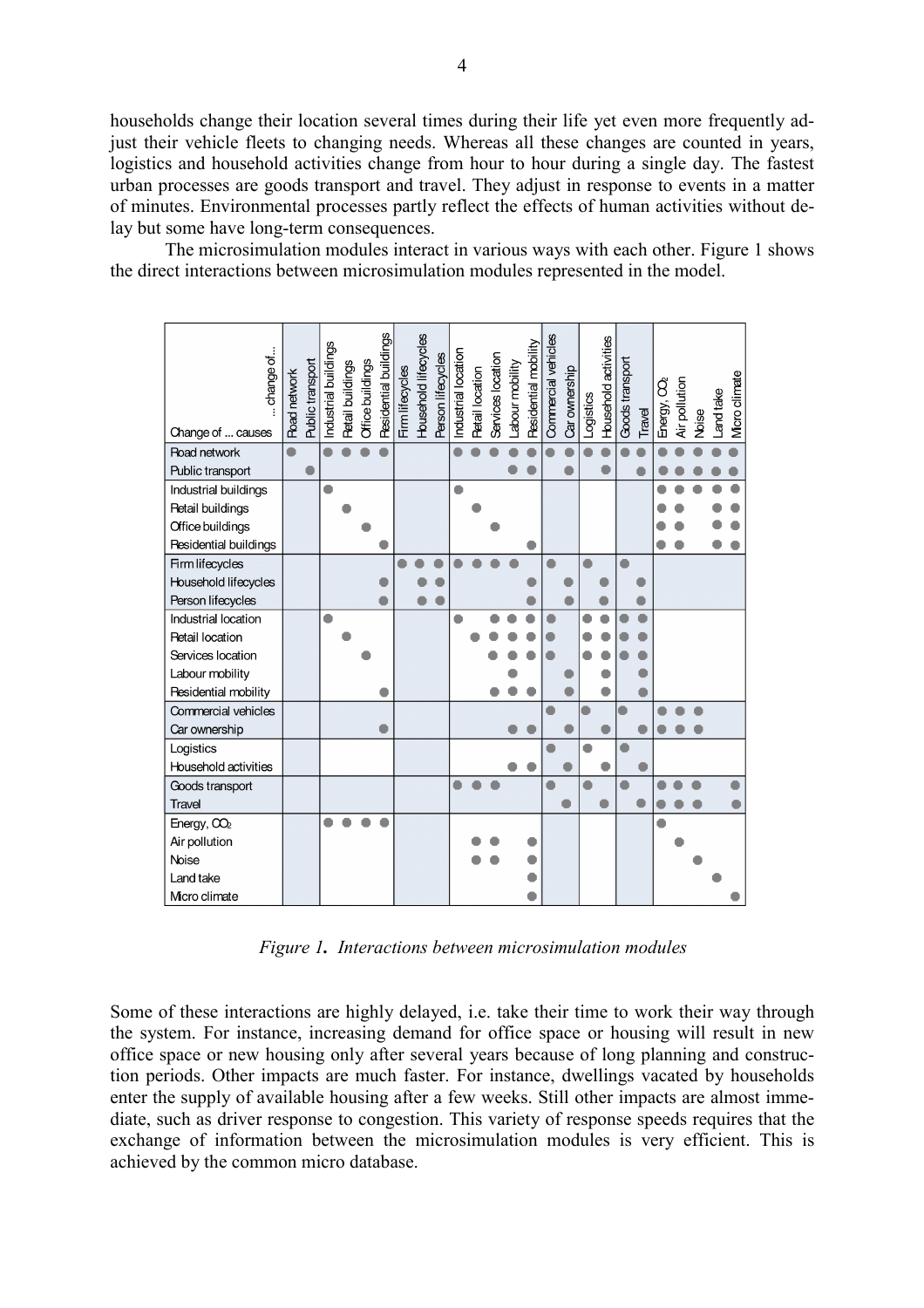households change their location several times during their life yet even more frequently adjust their vehicle fleets to changing needs. Whereas all these changes are counted in years, logistics and household activities change from hour to hour during a single day. The fastest urban processes are goods transport and travel. They adjust in response to events in a matter of minutes. Environmental processes partly reflect the effects of human activities without delay but some have long-term consequences.

The microsimulation modules interact in various ways with each other. Figure 1 shows the direct interactions between microsimulation modules represented in the model.

| .change of<br>Change of  causes | Road network | Public transport | Industrial buildings | Retail buildings | Office buildings | Residential buildings | Firmlifecycles | Household lifecycles | Person lifecycles | Industrial location | <b>Retail location</b> | Services location | Labour mobility | Residential mobility | Commercial vehicles | Car ownership | Logistics | Household activities | Goods transport | Travel | Energy, CO <sub>2</sub> | Air pollution | Noise | Land take | Mcro climate |
|---------------------------------|--------------|------------------|----------------------|------------------|------------------|-----------------------|----------------|----------------------|-------------------|---------------------|------------------------|-------------------|-----------------|----------------------|---------------------|---------------|-----------|----------------------|-----------------|--------|-------------------------|---------------|-------|-----------|--------------|
| Road network                    |              |                  |                      |                  |                  |                       |                |                      |                   |                     |                        |                   |                 |                      |                     |               |           |                      |                 |        |                         |               |       |           |              |
| Public transport                |              | C                |                      |                  |                  |                       |                |                      |                   |                     |                        |                   |                 |                      |                     |               |           | С                    |                 |        |                         |               |       |           |              |
| Industrial buildings            |              |                  |                      |                  |                  |                       |                |                      |                   |                     |                        |                   |                 |                      |                     |               |           |                      |                 |        |                         |               |       |           |              |
| Retail buildings                |              |                  |                      |                  |                  |                       |                |                      |                   |                     |                        |                   |                 |                      |                     |               |           |                      |                 |        |                         |               |       |           |              |
| Office buildings                |              |                  |                      |                  |                  |                       |                |                      |                   |                     |                        |                   |                 |                      |                     |               |           |                      |                 |        |                         |               |       |           |              |
| Residential buildings           |              |                  |                      |                  |                  |                       |                |                      |                   |                     |                        |                   |                 |                      |                     |               |           |                      |                 |        |                         |               |       |           |              |
| Firm lifecycles                 |              |                  |                      |                  |                  |                       |                |                      |                   |                     |                        |                   |                 |                      |                     |               |           |                      |                 |        |                         |               |       |           |              |
| Household lifecycles            |              |                  |                      |                  |                  |                       |                |                      |                   |                     |                        |                   |                 |                      |                     |               |           |                      |                 |        |                         |               |       |           |              |
| Person lifecycles               |              |                  |                      |                  |                  |                       |                |                      |                   |                     |                        |                   |                 |                      |                     |               |           |                      |                 |        |                         |               |       |           |              |
| Industrial location             |              |                  |                      |                  |                  |                       |                |                      |                   |                     |                        |                   |                 |                      |                     |               |           |                      |                 |        |                         |               |       |           |              |
| <b>Retail location</b>          |              |                  |                      |                  |                  |                       |                |                      |                   |                     |                        |                   |                 |                      |                     |               |           |                      |                 |        |                         |               |       |           |              |
| Services location               |              |                  |                      |                  |                  |                       |                |                      |                   |                     |                        |                   |                 |                      |                     |               |           |                      |                 |        |                         |               |       |           |              |
| Labour mobility                 |              |                  |                      |                  |                  |                       |                |                      |                   |                     |                        |                   |                 |                      |                     |               |           |                      |                 |        |                         |               |       |           |              |
| Residential mobility            |              |                  |                      |                  |                  |                       |                |                      |                   |                     |                        |                   |                 |                      |                     |               |           |                      |                 |        |                         |               |       |           |              |
| Commercial vehicles             |              |                  |                      |                  |                  |                       |                |                      |                   |                     |                        |                   |                 |                      |                     |               |           |                      |                 |        |                         |               |       |           |              |
| Car ownership                   |              |                  |                      |                  |                  |                       |                |                      |                   |                     |                        |                   |                 |                      |                     |               |           | О                    |                 |        |                         |               |       |           |              |
| Logistics                       |              |                  |                      |                  |                  |                       |                |                      |                   |                     |                        |                   |                 |                      |                     |               |           |                      |                 |        |                         |               |       |           |              |
| Household activities            |              |                  |                      |                  |                  |                       |                |                      |                   |                     |                        |                   |                 |                      |                     |               |           |                      |                 |        |                         |               |       |           |              |
| Goods transport                 |              |                  |                      |                  |                  |                       |                |                      |                   |                     |                        |                   |                 |                      |                     |               |           |                      |                 |        |                         |               |       |           |              |
| <b>Travel</b>                   |              |                  |                      |                  |                  |                       |                |                      |                   |                     |                        |                   |                 |                      |                     |               |           | a                    |                 |        |                         |               |       |           |              |
| Energy, CO <sub>2</sub>         |              |                  |                      |                  |                  |                       |                |                      |                   |                     |                        |                   |                 |                      |                     |               |           |                      |                 |        |                         |               |       |           |              |
| Air pollution                   |              |                  |                      |                  |                  |                       |                |                      |                   |                     |                        |                   |                 |                      |                     |               |           |                      |                 |        |                         |               |       |           |              |
| Noise                           |              |                  |                      |                  |                  |                       |                |                      |                   |                     |                        |                   |                 |                      |                     |               |           |                      |                 |        |                         |               |       |           |              |
| Land take                       |              |                  |                      |                  |                  |                       |                |                      |                   |                     |                        |                   |                 |                      |                     |               |           |                      |                 |        |                         |               |       |           |              |
| Micro climate                   |              |                  |                      |                  |                  |                       |                |                      |                   |                     |                        |                   |                 |                      |                     |               |           |                      |                 |        |                         |               |       |           |              |

*Figure 1. Interactions between microsimulation modules*

Some of these interactions are highly delayed, i.e. take their time to work their way through the system. For instance, increasing demand for office space or housing will result in new office space or new housing only after several years because of long planning and construction periods. Other impacts are much faster. For instance, dwellings vacated by households enter the supply of available housing after a few weeks. Still other impacts are almost immediate, such as driver response to congestion. This variety of response speeds requires that the exchange of information between the microsimulation modules is very efficient. This is achieved by the common micro database.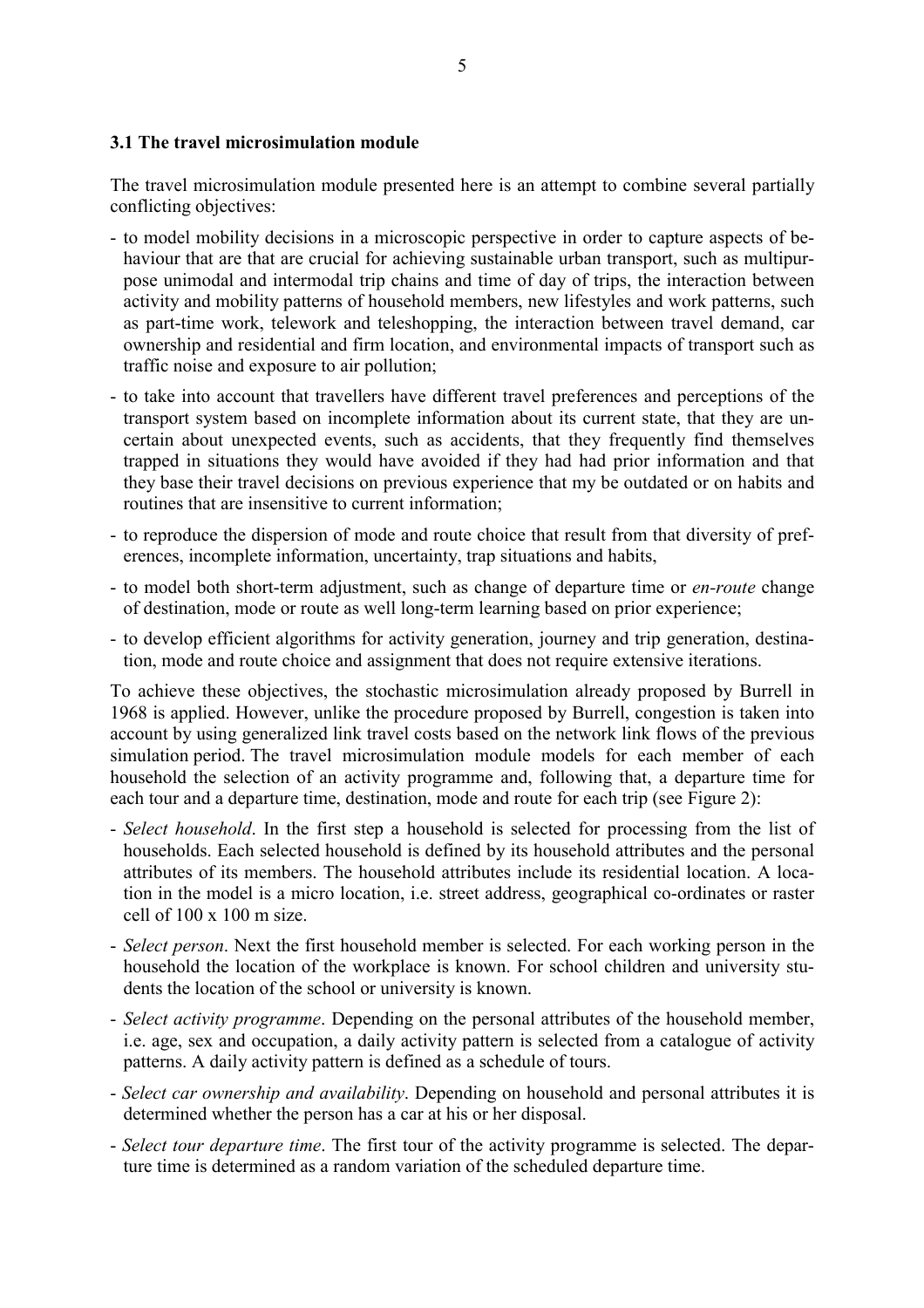## **3.1 The travel microsimulation module**

The travel microsimulation module presented here is an attempt to combine several partially conflicting objectives:

- to model mobility decisions in a microscopic perspective in order to capture aspects of behaviour that are that are crucial for achieving sustainable urban transport, such as multipurpose unimodal and intermodal trip chains and time of day of trips, the interaction between activity and mobility patterns of household members, new lifestyles and work patterns, such as part-time work, telework and teleshopping, the interaction between travel demand, car ownership and residential and firm location, and environmental impacts of transport such as traffic noise and exposure to air pollution;
- to take into account that travellers have different travel preferences and perceptions of the transport system based on incomplete information about its current state, that they are uncertain about unexpected events, such as accidents, that they frequently find themselves trapped in situations they would have avoided if they had had prior information and that they base their travel decisions on previous experience that my be outdated or on habits and routines that are insensitive to current information;
- to reproduce the dispersion of mode and route choice that result from that diversity of preferences, incomplete information, uncertainty, trap situations and habits,
- to model both short-term adjustment, such as change of departure time or *en-route* change of destination, mode or route as well long-term learning based on prior experience;
- to develop efficient algorithms for activity generation, journey and trip generation, destination, mode and route choice and assignment that does not require extensive iterations.

To achieve these objectives, the stochastic microsimulation already proposed by Burrell in 1968 is applied. However, unlike the procedure proposed by Burrell, congestion is taken into account by using generalized link travel costs based on the network link flows of the previous simulation period. The travel microsimulation module models for each member of each household the selection of an activity programme and, following that, a departure time for each tour and a departure time, destination, mode and route for each trip (see Figure 2):

- *Select household*. In the first step a household is selected for processing from the list of households. Each selected household is defined by its household attributes and the personal attributes of its members. The household attributes include its residential location. A location in the model is a micro location, i.e. street address, geographical co-ordinates or raster cell of 100 x 100 m size.
- *Select person*. Next the first household member is selected. For each working person in the household the location of the workplace is known. For school children and university students the location of the school or university is known.
- *Select activity programme*. Depending on the personal attributes of the household member, i.e. age, sex and occupation, a daily activity pattern is selected from a catalogue of activity patterns. A daily activity pattern is defined as a schedule of tours.
- *Select car ownership and availability*. Depending on household and personal attributes it is determined whether the person has a car at his or her disposal.
- *Select tour departure time*. The first tour of the activity programme is selected. The departure time is determined as a random variation of the scheduled departure time.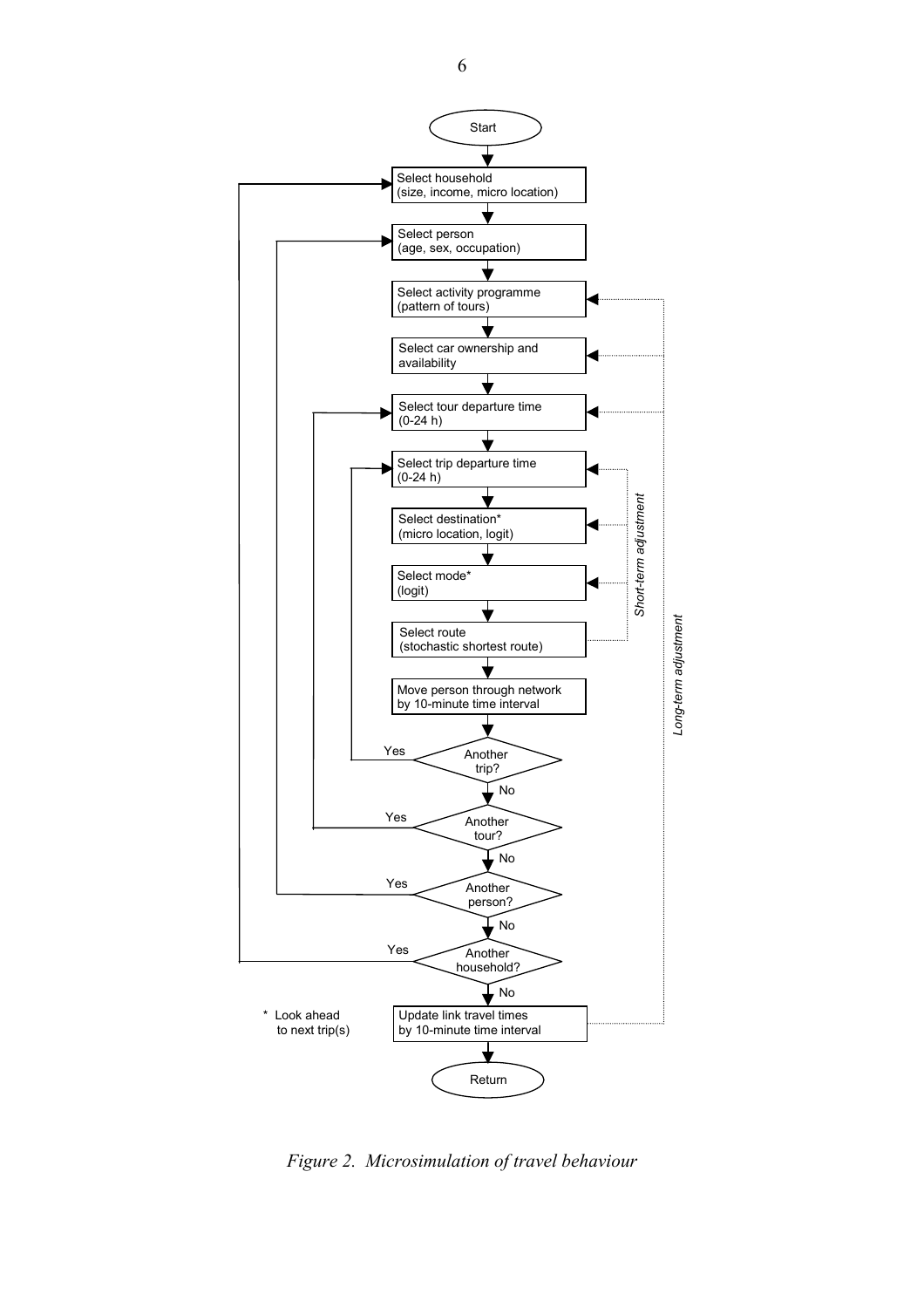

*Figure 2. Microsimulation of travel behaviour*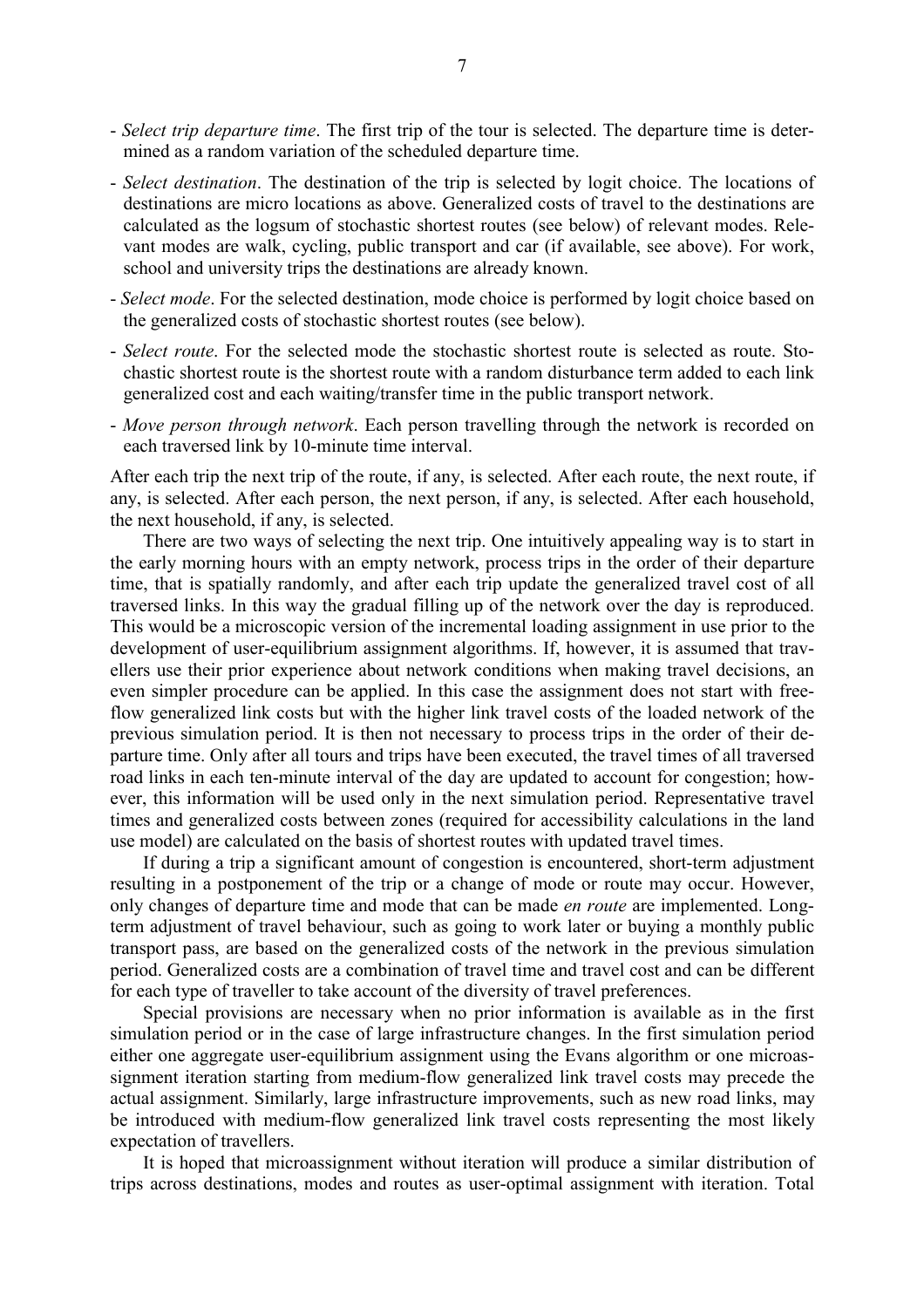- *Select trip departure time*. The first trip of the tour is selected. The departure time is determined as a random variation of the scheduled departure time.
- *Select destination*. The destination of the trip is selected by logit choice. The locations of destinations are micro locations as above. Generalized costs of travel to the destinations are calculated as the logsum of stochastic shortest routes (see below) of relevant modes. Relevant modes are walk, cycling, public transport and car (if available, see above). For work, school and university trips the destinations are already known.
- *Select mode*. For the selected destination, mode choice is performed by logit choice based on the generalized costs of stochastic shortest routes (see below).
- *Select route*. For the selected mode the stochastic shortest route is selected as route. Stochastic shortest route is the shortest route with a random disturbance term added to each link generalized cost and each waiting/transfer time in the public transport network.
- *Move person through network*. Each person travelling through the network is recorded on each traversed link by 10-minute time interval.

After each trip the next trip of the route, if any, is selected. After each route, the next route, if any, is selected. After each person, the next person, if any, is selected. After each household, the next household, if any, is selected.

There are two ways of selecting the next trip. One intuitively appealing way is to start in the early morning hours with an empty network, process trips in the order of their departure time, that is spatially randomly, and after each trip update the generalized travel cost of all traversed links. In this way the gradual filling up of the network over the day is reproduced. This would be a microscopic version of the incremental loading assignment in use prior to the development of user-equilibrium assignment algorithms. If, however, it is assumed that travellers use their prior experience about network conditions when making travel decisions, an even simpler procedure can be applied. In this case the assignment does not start with freeflow generalized link costs but with the higher link travel costs of the loaded network of the previous simulation period. It is then not necessary to process trips in the order of their departure time. Only after all tours and trips have been executed, the travel times of all traversed road links in each ten-minute interval of the day are updated to account for congestion; however, this information will be used only in the next simulation period. Representative travel times and generalized costs between zones (required for accessibility calculations in the land use model) are calculated on the basis of shortest routes with updated travel times.

If during a trip a significant amount of congestion is encountered, short-term adjustment resulting in a postponement of the trip or a change of mode or route may occur. However, only changes of departure time and mode that can be made *en route* are implemented. Longterm adjustment of travel behaviour, such as going to work later or buying a monthly public transport pass, are based on the generalized costs of the network in the previous simulation period. Generalized costs are a combination of travel time and travel cost and can be different for each type of traveller to take account of the diversity of travel preferences.

Special provisions are necessary when no prior information is available as in the first simulation period or in the case of large infrastructure changes. In the first simulation period either one aggregate user-equilibrium assignment using the Evans algorithm or one microassignment iteration starting from medium-flow generalized link travel costs may precede the actual assignment. Similarly, large infrastructure improvements, such as new road links, may be introduced with medium-flow generalized link travel costs representing the most likely expectation of travellers.

It is hoped that microassignment without iteration will produce a similar distribution of trips across destinations, modes and routes as user-optimal assignment with iteration. Total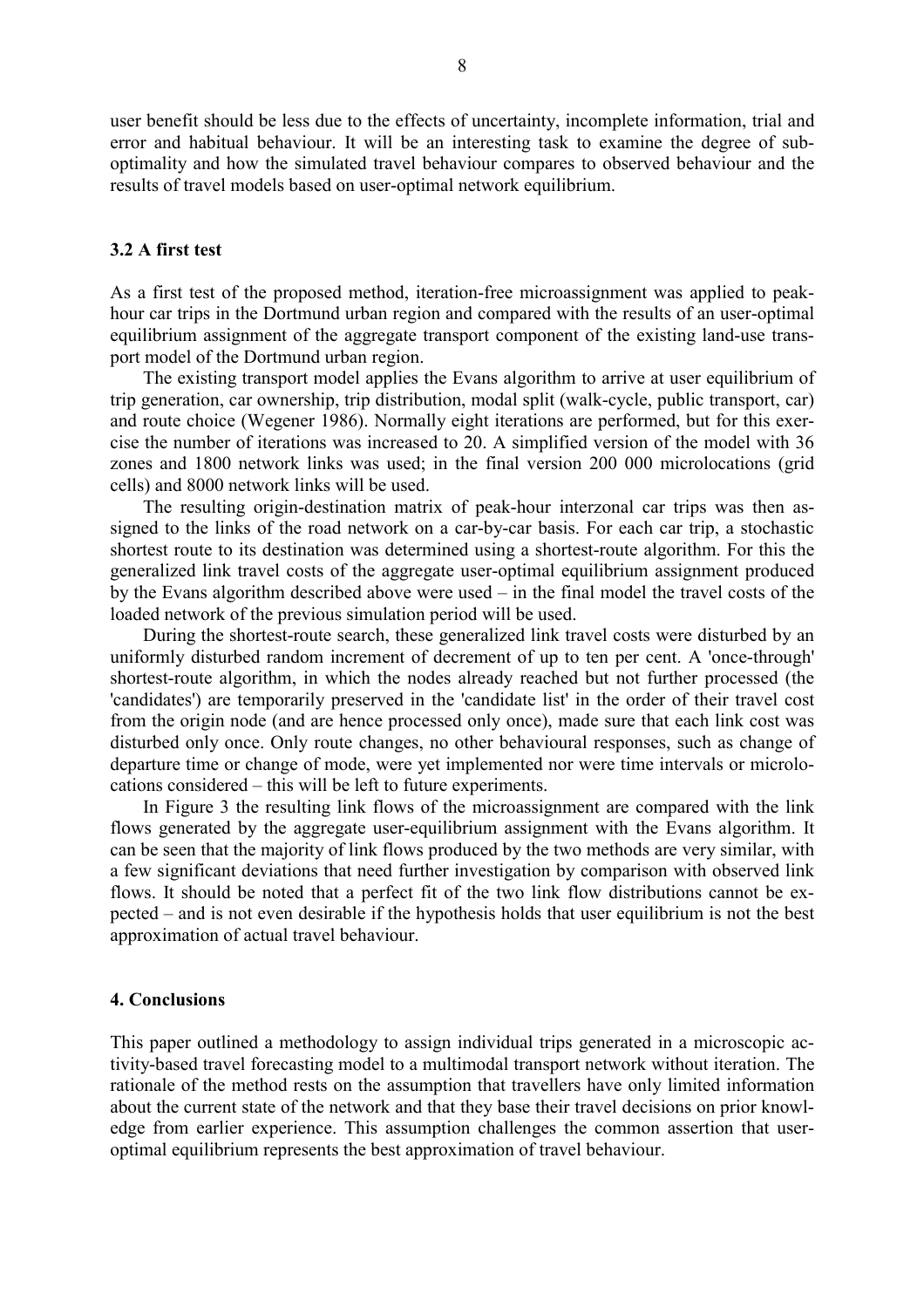user benefit should be less due to the effects of uncertainty, incomplete information, trial and error and habitual behaviour. It will be an interesting task to examine the degree of suboptimality and how the simulated travel behaviour compares to observed behaviour and the results of travel models based on user-optimal network equilibrium.

### **3.2 A first test**

As a first test of the proposed method, iteration-free microassignment was applied to peakhour car trips in the Dortmund urban region and compared with the results of an user-optimal equilibrium assignment of the aggregate transport component of the existing land-use transport model of the Dortmund urban region.

The existing transport model applies the Evans algorithm to arrive at user equilibrium of trip generation, car ownership, trip distribution, modal split (walk-cycle, public transport, car) and route choice (Wegener 1986). Normally eight iterations are performed, but for this exercise the number of iterations was increased to 20. A simplified version of the model with 36 zones and 1800 network links was used; in the final version 200 000 microlocations (grid cells) and 8000 network links will be used.

The resulting origin-destination matrix of peak-hour interzonal car trips was then assigned to the links of the road network on a car-by-car basis. For each car trip, a stochastic shortest route to its destination was determined using a shortest-route algorithm. For this the generalized link travel costs of the aggregate user-optimal equilibrium assignment produced by the Evans algorithm described above were used – in the final model the travel costs of the loaded network of the previous simulation period will be used.

During the shortest-route search, these generalized link travel costs were disturbed by an uniformly disturbed random increment of decrement of up to ten per cent. A 'once-through' shortest-route algorithm, in which the nodes already reached but not further processed (the 'candidates') are temporarily preserved in the 'candidate list' in the order of their travel cost from the origin node (and are hence processed only once), made sure that each link cost was disturbed only once. Only route changes, no other behavioural responses, such as change of departure time or change of mode, were yet implemented nor were time intervals or microlocations considered – this will be left to future experiments.

In Figure 3 the resulting link flows of the microassignment are compared with the link flows generated by the aggregate user-equilibrium assignment with the Evans algorithm. It can be seen that the majority of link flows produced by the two methods are very similar, with a few significant deviations that need further investigation by comparison with observed link flows. It should be noted that a perfect fit of the two link flow distributions cannot be expected – and is not even desirable if the hypothesis holds that user equilibrium is not the best approximation of actual travel behaviour.

## **4. Conclusions**

This paper outlined a methodology to assign individual trips generated in a microscopic activity-based travel forecasting model to a multimodal transport network without iteration. The rationale of the method rests on the assumption that travellers have only limited information about the current state of the network and that they base their travel decisions on prior knowledge from earlier experience. This assumption challenges the common assertion that useroptimal equilibrium represents the best approximation of travel behaviour.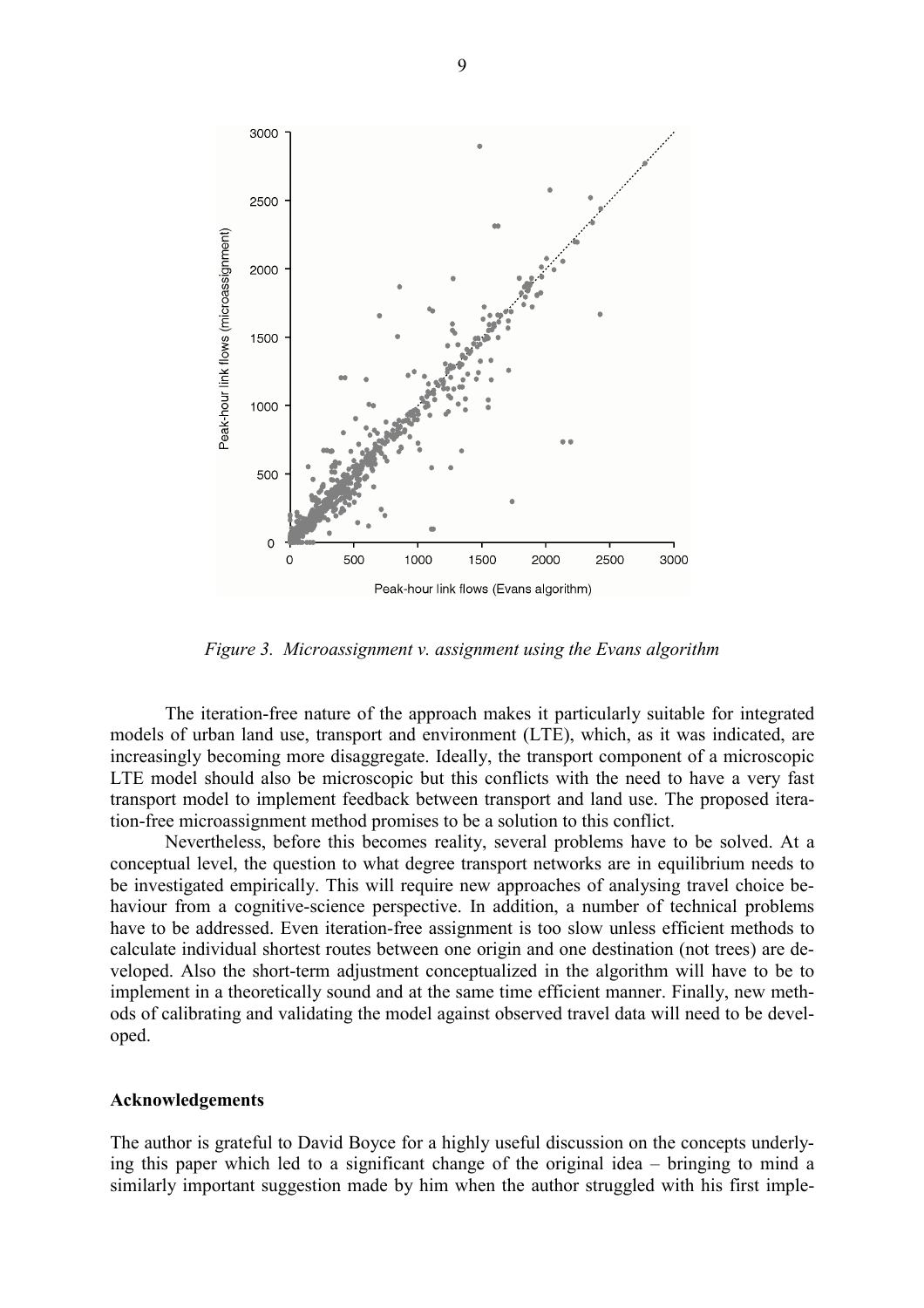

*Figure 3. Microassignment v. assignment using the Evans algorithm*

The iteration-free nature of the approach makes it particularly suitable for integrated models of urban land use, transport and environment (LTE), which, as it was indicated, are increasingly becoming more disaggregate. Ideally, the transport component of a microscopic LTE model should also be microscopic but this conflicts with the need to have a very fast transport model to implement feedback between transport and land use. The proposed iteration-free microassignment method promises to be a solution to this conflict.

Nevertheless, before this becomes reality, several problems have to be solved. At a conceptual level, the question to what degree transport networks are in equilibrium needs to be investigated empirically. This will require new approaches of analysing travel choice behaviour from a cognitive-science perspective. In addition, a number of technical problems have to be addressed. Even iteration-free assignment is too slow unless efficient methods to calculate individual shortest routes between one origin and one destination (not trees) are developed. Also the short-term adjustment conceptualized in the algorithm will have to be to implement in a theoretically sound and at the same time efficient manner. Finally, new methods of calibrating and validating the model against observed travel data will need to be developed.

### **Acknowledgements**

The author is grateful to David Boyce for a highly useful discussion on the concepts underlying this paper which led to a significant change of the original idea – bringing to mind a similarly important suggestion made by him when the author struggled with his first imple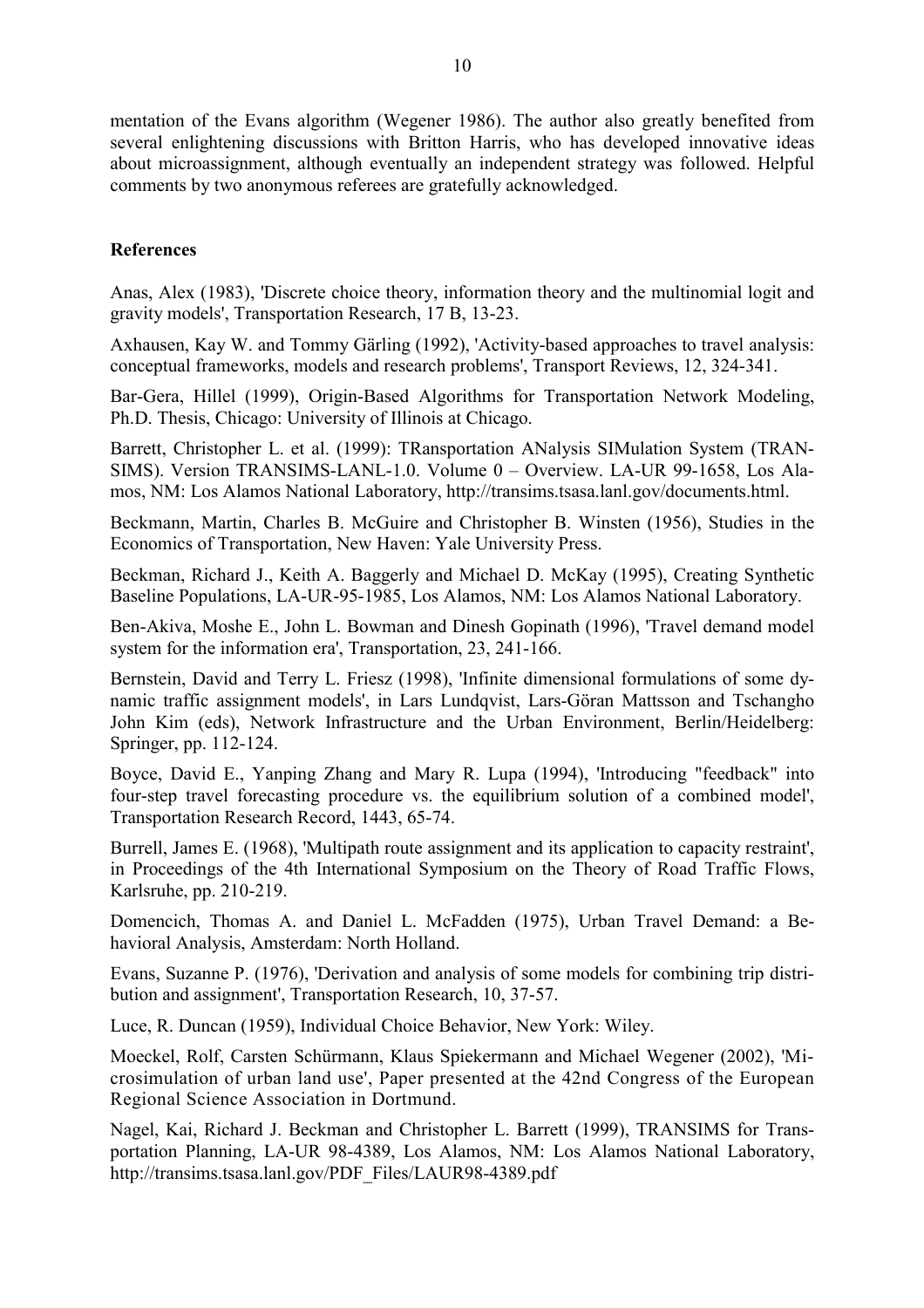mentation of the Evans algorithm (Wegener 1986). The author also greatly benefited from several enlightening discussions with Britton Harris, who has developed innovative ideas about microassignment, although eventually an independent strategy was followed. Helpful comments by two anonymous referees are gratefully acknowledged.

# **References**

Anas, Alex (1983), 'Discrete choice theory, information theory and the multinomial logit and gravity models', Transportation Research, 17 B, 13-23.

Axhausen, Kay W. and Tommy Gärling (1992), 'Activity-based approaches to travel analysis: conceptual frameworks, models and research problems', Transport Reviews, 12, 324-341.

Bar-Gera, Hillel (1999), Origin-Based Algorithms for Transportation Network Modeling, Ph.D. Thesis, Chicago: University of Illinois at Chicago.

Barrett, Christopher L. et al. (1999): TRansportation ANalysis SIMulation System (TRAN-SIMS). Version TRANSIMS-LANL-1.0. Volume 0 – Overview. LA-UR 99-1658, Los Alamos, NM: Los Alamos National Laboratory, http://transims.tsasa.lanl.gov/documents.html.

Beckmann, Martin, Charles B. McGuire and Christopher B. Winsten (1956), Studies in the Economics of Transportation, New Haven: Yale University Press.

Beckman, Richard J., Keith A. Baggerly and Michael D. McKay (1995), Creating Synthetic Baseline Populations, LA-UR-95-1985, Los Alamos, NM: Los Alamos National Laboratory.

Ben-Akiva, Moshe E., John L. Bowman and Dinesh Gopinath (1996), 'Travel demand model system for the information era', Transportation, 23, 241-166.

Bernstein, David and Terry L. Friesz (1998), 'Infinite dimensional formulations of some dynamic traffic assignment models', in Lars Lundqvist, Lars-Göran Mattsson and Tschangho John Kim (eds), Network Infrastructure and the Urban Environment, Berlin/Heidelberg: Springer, pp. 112-124.

Boyce, David E., Yanping Zhang and Mary R. Lupa (1994), 'Introducing "feedback" into four-step travel forecasting procedure vs. the equilibrium solution of a combined model', Transportation Research Record, 1443, 65-74.

Burrell, James E. (1968), 'Multipath route assignment and its application to capacity restraint', in Proceedings of the 4th International Symposium on the Theory of Road Traffic Flows, Karlsruhe, pp. 210-219.

Domencich, Thomas A. and Daniel L. McFadden (1975), Urban Travel Demand: a Behavioral Analysis, Amsterdam: North Holland.

Evans, Suzanne P. (1976), 'Derivation and analysis of some models for combining trip distribution and assignment', Transportation Research, 10, 37-57.

Luce, R. Duncan (1959), Individual Choice Behavior, New York: Wiley.

Moeckel, Rolf, Carsten Schürmann, Klaus Spiekermann and Michael Wegener (2002), 'Microsimulation of urban land use', Paper presented at the 42nd Congress of the European Regional Science Association in Dortmund.

Nagel, Kai, Richard J. Beckman and Christopher L. Barrett (1999), TRANSIMS for Transportation Planning, LA-UR 98-4389, Los Alamos, NM: Los Alamos National Laboratory, http://transims.tsasa.lanl.gov/PDF\_Files/LAUR98-4389.pdf